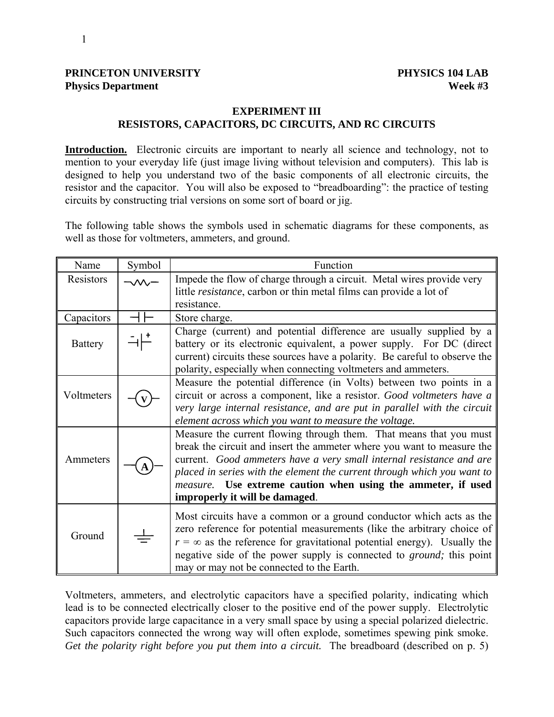### **PRINCETON UNIVERSITY PHYSICS 104 LAB Physics Department** Week #3

## **EXPERIMENT III RESISTORS, CAPACITORS, DC CIRCUITS, AND RC CIRCUITS**

Introduction. Electronic circuits are important to nearly all science and technology, not to mention to your everyday life (just image living without television and computers). This lab is designed to help you understand two of the basic components of all electronic circuits, the resistor and the capacitor. You will also be exposed to "breadboarding": the practice of testing circuits by constructing trial versions on some sort of board or jig.

The following table shows the symbols used in schematic diagrams for these components, as well as those for voltmeters, ammeters, and ground.

| Name           | Symbol | Function                                                                                                                                                                                                                                                                                                                                                                                          |  |
|----------------|--------|---------------------------------------------------------------------------------------------------------------------------------------------------------------------------------------------------------------------------------------------------------------------------------------------------------------------------------------------------------------------------------------------------|--|
| Resistors      |        | Impede the flow of charge through a circuit. Metal wires provide very                                                                                                                                                                                                                                                                                                                             |  |
|                |        | little <i>resistance</i> , carbon or thin metal films can provide a lot of                                                                                                                                                                                                                                                                                                                        |  |
|                |        | resistance.                                                                                                                                                                                                                                                                                                                                                                                       |  |
| Capacitors     |        | Store charge.                                                                                                                                                                                                                                                                                                                                                                                     |  |
| <b>Battery</b> |        | Charge (current) and potential difference are usually supplied by a<br>battery or its electronic equivalent, a power supply. For DC (direct)                                                                                                                                                                                                                                                      |  |
|                |        | current) circuits these sources have a polarity. Be careful to observe the<br>polarity, especially when connecting voltmeters and ammeters.                                                                                                                                                                                                                                                       |  |
| Voltmeters     |        | Measure the potential difference (in Volts) between two points in a<br>circuit or across a component, like a resistor. Good voltmeters have a<br>very large internal resistance, and are put in parallel with the circuit<br>element across which you want to measure the voltage.                                                                                                                |  |
| Ammeters       |        | Measure the current flowing through them. That means that you must<br>break the circuit and insert the ammeter where you want to measure the<br>current. Good ammeters have a very small internal resistance and are<br>placed in series with the element the current through which you want to<br>measure. Use extreme caution when using the ammeter, if used<br>improperly it will be damaged. |  |
| Ground         |        | Most circuits have a common or a ground conductor which acts as the<br>zero reference for potential measurements (like the arbitrary choice of<br>$r = \infty$ as the reference for gravitational potential energy). Usually the<br>negative side of the power supply is connected to <i>ground</i> ; this point<br>may or may not be connected to the Earth.                                     |  |

Voltmeters, ammeters, and electrolytic capacitors have a specified polarity, indicating which lead is to be connected electrically closer to the positive end of the power supply. Electrolytic capacitors provide large capacitance in a very small space by using a special polarized dielectric. Such capacitors connected the wrong way will often explode, sometimes spewing pink smoke. *Get the polarity right before you put them into a circuit.* The breadboard (described on p. 5)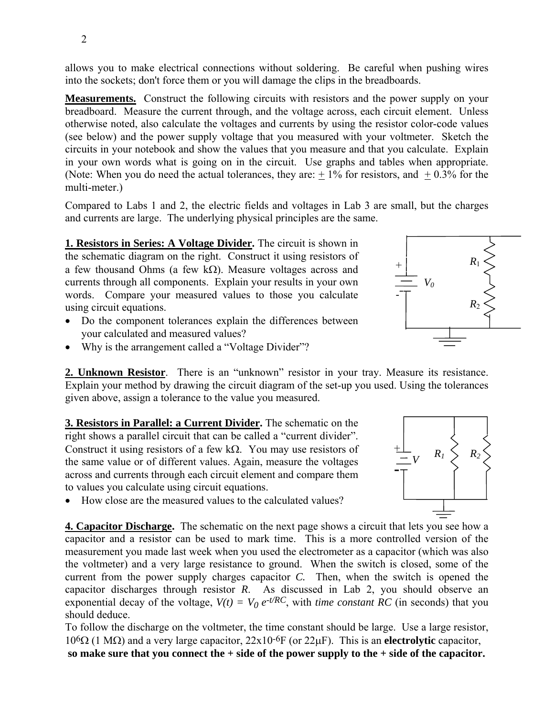2

allows you to make electrical connections without soldering. Be careful when pushing wires into the sockets; don't force them or you will damage the clips in the breadboards.

**Measurements.** Construct the following circuits with resistors and the power supply on your breadboard. Measure the current through, and the voltage across, each circuit element. Unless otherwise noted, also calculate the voltages and currents by using the resistor color-code values (see below) and the power supply voltage that you measured with your voltmeter. Sketch the circuits in your notebook and show the values that you measure and that you calculate. Explain in your own words what is going on in the circuit. Use graphs and tables when appropriate. (Note: When you do need the actual tolerances, they are:  $+1\%$  for resistors, and  $+0.3\%$  for the multi-meter.)

Compared to Labs 1 and 2, the electric fields and voltages in Lab 3 are small, but the charges and currents are large. The underlying physical principles are the same.

**1. Resistors in Series: A Voltage Divider.** The circuit is shown in the schematic diagram on the right. Construct it using resistors of a few thousand Ohms (a few  $k\Omega$ ). Measure voltages across and currents through all components. Explain your results in your own words. Compare your measured values to those you calculate using circuit equations.

- Do the component tolerances explain the differences between your calculated and measured values?
- Why is the arrangement called a "Voltage Divider"?

**2. Unknown Resistor**. There is an "unknown" resistor in your tray. Measure its resistance. Explain your method by drawing the circuit diagram of the set-up you used. Using the tolerances given above, assign a tolerance to the value you measured.

**3. Resistors in Parallel: a Current Divider.** The schematic on the right shows a parallel circuit that can be called a "current divider". Construct it using resistors of a few kΩ. You may use resistors of the same value or of different values. Again, measure the voltages across and currents through each circuit element and compare them to values you calculate using circuit equations.

• How close are the measured values to the calculated values?

**4. Capacitor Discharge.** The schematic on the next page shows a circuit that lets you see how a capacitor and a resistor can be used to mark time. This is a more controlled version of the measurement you made last week when you used the electrometer as a capacitor (which was also the voltmeter) and a very large resistance to ground. When the switch is closed, some of the current from the power supply charges capacitor *C.* Then, when the switch is opened the capacitor discharges through resistor *R*. As discussed in Lab 2, you should observe an exponential decay of the voltage,  $V(t) = V_0 e^{-t/RC}$ , with *time constant RC* (in seconds) that you should deduce.

To follow the discharge on the voltmeter, the time constant should be large. Use a large resistor, 106Ω (1 MΩ) and a very large capacitor, 22x10-6F (or 22µF). This is an **electrolytic** capacitor,  **so make sure that you connect the + side of the power supply to the + side of the capacitor.**



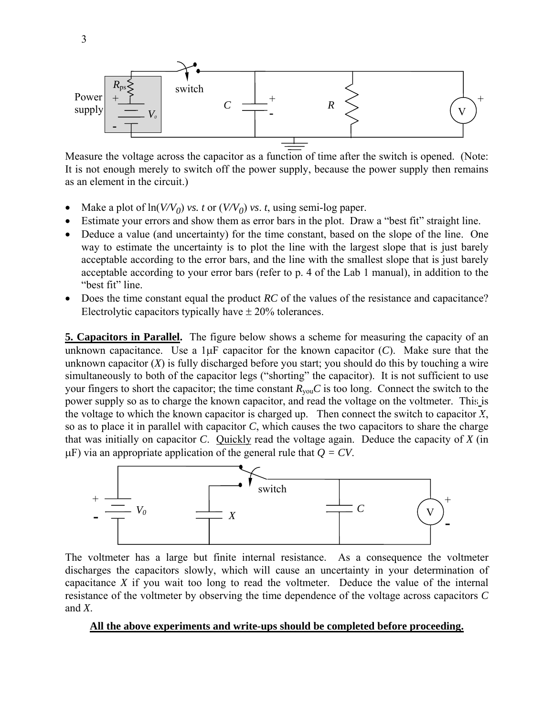

Measure the voltage across the capacitor as a function of time after the switch is opened. (Note: It is not enough merely to switch off the power supply, because the power supply then remains as an element in the circuit.)

- Make a plot of  $\ln(V/V_0)$  *vs. t* or  $(V/V_0)$  *vs. t*, using semi-log paper.
- Estimate your errors and show them as error bars in the plot. Draw a "best fit" straight line.
- Deduce a value (and uncertainty) for the time constant, based on the slope of the line. One way to estimate the uncertainty is to plot the line with the largest slope that is just barely acceptable according to the error bars, and the line with the smallest slope that is just barely acceptable according to your error bars (refer to p. 4 of the Lab 1 manual), in addition to the "best fit" line.
- Does the time constant equal the product *RC* of the values of the resistance and capacitance? Electrolytic capacitors typically have  $\pm$  20% tolerances.

**5. Capacitors in Parallel.** The figure below shows a scheme for measuring the capacity of an unknown capacitance. Use a  $1\mu$ F capacitor for the known capacitor  $(C)$ . Make sure that the unknown capacitor (*X*) is fully discharged before you start; you should do this by touching a wire simultaneously to both of the capacitor legs ("shorting" the capacitor). It is not sufficient to use your fingers to short the capacitor; the time constant  $R_{\text{you}}C$  is too long. Connect the switch to the power supply so as to charge the known capacitor, and read the voltage on the voltmeter. This is the voltage to which the known capacitor is charged up. Then connect the switch to capacitor *X*, so as to place it in parallel with capacitor *C*, which causes the two capacitors to share the charge that was initially on capacitor *C*. Quickly read the voltage again. Deduce the capacity of *X* (in  $\mu$ F) via an appropriate application of the general rule that  $Q = CV$ .



The voltmeter has a large but finite internal resistance. As a consequence the voltmeter discharges the capacitors slowly, which will cause an uncertainty in your determination of capacitance *X* if you wait too long to read the voltmeter. Deduce the value of the internal resistance of the voltmeter by observing the time dependence of the voltage across capacitors *C* and *X*.

#### **All the above experiments and write-ups should be completed before proceeding.**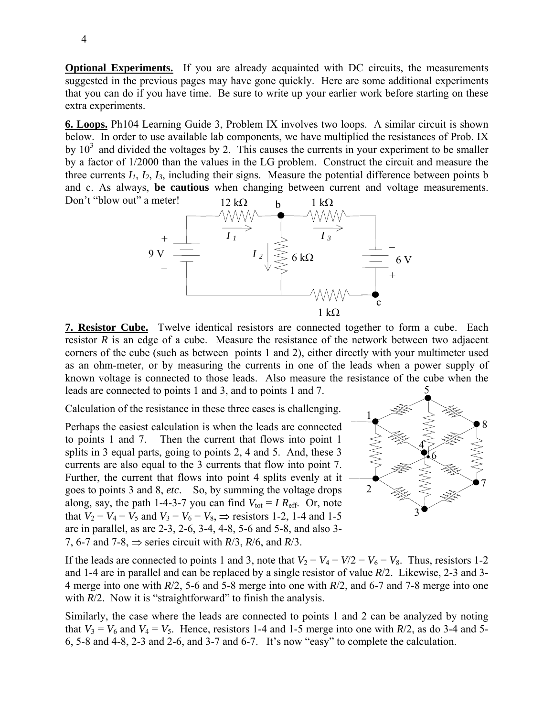**Optional Experiments.** If you are already acquainted with DC circuits, the measurements suggested in the previous pages may have gone quickly. Here are some additional experiments that you can do if you have time. Be sure to write up your earlier work before starting on these extra experiments.

**6. Loops.** Ph104 Learning Guide 3, Problem IX involves two loops. A similar circuit is shown below. In order to use available lab components, we have multiplied the resistances of Prob. IX by  $10<sup>3</sup>$  and divided the voltages by 2. This causes the currents in your experiment to be smaller by a factor of 1/2000 than the values in the LG problem. Construct the circuit and measure the three currents  $I_1$ ,  $I_2$ ,  $I_3$ , including their signs. Measure the potential difference between points b and c. As always, **be cautious** when changing between current and voltage measurements. Don't "blow out" a meter!



**7. Resistor Cube.** Twelve identical resistors are connected together to form a cube. Each resistor *R* is an edge of a cube. Measure the resistance of the network between two adjacent corners of the cube (such as between points 1 and 2), either directly with your multimeter used as an ohm-meter, or by measuring the currents in one of the leads when a power supply of known voltage is connected to those leads. Also measure the resistance of the cube when the leads are connected to points 1 and 3, and to points 1 and 7. 5

Calculation of the resistance in these three cases is challenging.

Perhaps the easiest calculation is when the leads are connected to points 1 and 7. Then the current that flows into point 1 splits in 3 equal parts, going to points 2, 4 and 5. And, these 3 currents are also equal to the 3 currents that flow into point 7. Further, the current that flows into point 4 splits evenly at it goes to points 3 and 8, *etc*. So, by summing the voltage drops along, say, the path 1-4-3-7 you can find  $V_{\text{tot}} = I R_{\text{eff}}$ . Or, note that  $V_2 = V_4 = V_5$  and  $V_3 = V_6 = V_8$ ,  $\Rightarrow$  resistors 1-2, 1-4 and 1-5 are in parallel, as are 2-3, 2-6, 3-4, 4-8, 5-6 and 5-8, and also 3- 7, 6-7 and 7-8,  $\Rightarrow$  series circuit with *R*/3, *R*/6, and *R*/3.



If the leads are connected to points 1 and 3, note that  $V_2 = V_4 = V/2 = V_6 = V_8$ . Thus, resistors 1-2 and 1-4 are in parallel and can be replaced by a single resistor of value *R*/2. Likewise, 2-3 and 3- 4 merge into one with *R*/2, 5-6 and 5-8 merge into one with *R*/2, and 6-7 and 7-8 merge into one with *R*/2. Now it is "straightforward" to finish the analysis.

Similarly, the case where the leads are connected to points 1 and 2 can be analyzed by noting that  $V_3 = V_6$  and  $V_4 = V_5$ . Hence, resistors 1-4 and 1-5 merge into one with  $R/2$ , as do 3-4 and 5-6, 5-8 and 4-8, 2-3 and 2-6, and 3-7 and 6-7. It's now "easy" to complete the calculation.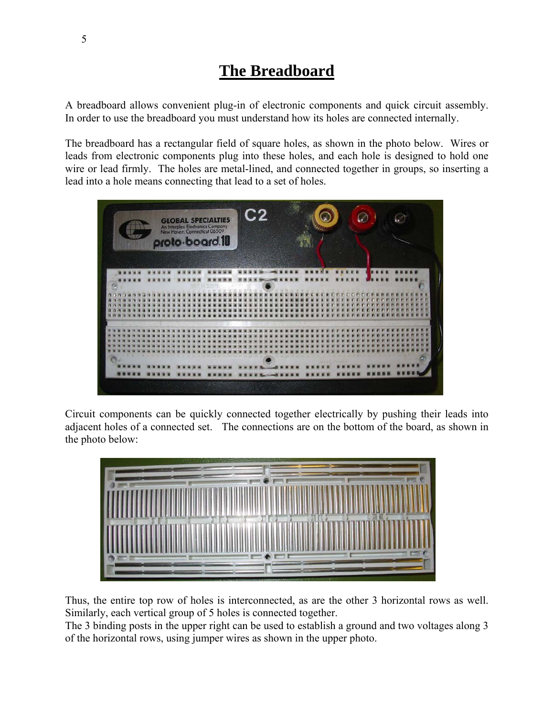# **The Breadboard**

A breadboard allows convenient plug-in of electronic components and quick circuit assembly. In order to use the breadboard you must understand how its holes are connected internally.

The breadboard has a rectangular field of square holes, as shown in the photo below. Wires or leads from electronic components plug into these holes, and each hole is designed to hold one wire or lead firmly. The holes are metal-lined, and connected together in groups, so inserting a lead into a hole means connecting that lead to a set of holes.



Circuit components can be quickly connected together electrically by pushing their leads into adjacent holes of a connected set. The connections are on the bottom of the board, as shown in the photo below:



Thus, the entire top row of holes is interconnected, as are the other 3 horizontal rows as well. Similarly, each vertical group of 5 holes is connected together.

The 3 binding posts in the upper right can be used to establish a ground and two voltages along 3 of the horizontal rows, using jumper wires as shown in the upper photo.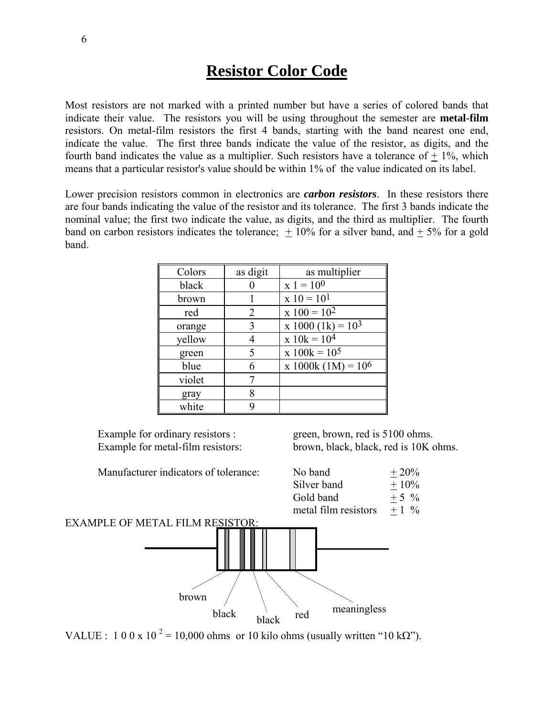# **Resistor Color Code**

Most resistors are not marked with a printed number but have a series of colored bands that indicate their value. The resistors you will be using throughout the semester are **metal-film** resistors. On metal-film resistors the first 4 bands, starting with the band nearest one end, indicate the value. The first three bands indicate the value of the resistor, as digits, and the fourth band indicates the value as a multiplier. Such resistors have a tolerance of  $+1\%$ , which means that a particular resistor's value should be within 1% of the value indicated on its label.

Lower precision resistors common in electronics are *carbon resistors*. In these resistors there are four bands indicating the value of the resistor and its tolerance. The first 3 bands indicate the nominal value; the first two indicate the value, as digits, and the third as multiplier. The fourth band on carbon resistors indicates the tolerance;  $\pm$  10% for a silver band, and  $\pm$  5% for a gold band.

| Colors | as digit | as multiplier         |
|--------|----------|-----------------------|
| black  |          | $x 1 = 10^{0}$        |
| brown  |          | $x 10 = 101$          |
| red    | 2        | $x 100 = 102$         |
| orange | 3        | $x 1000 (1k) = 103$   |
| yellow | 4        | $x 10k = 104$         |
| green  | 5        | $x 100k = 10^5$       |
| blue   | 6        | x 1000k (1M) = $10^6$ |
| violet | 7        |                       |
| gray   | 8        |                       |
| white  | 9        |                       |

Example for ordinary resistors : green, brown, red is 5100 ohms. Example for metal-film resistors: brown, black, black, red is 10K ohms.



VALUE :  $100 \times 10^2 = 10,000$  ohms or 10 kilo ohms (usually written "10 k $\Omega$ ").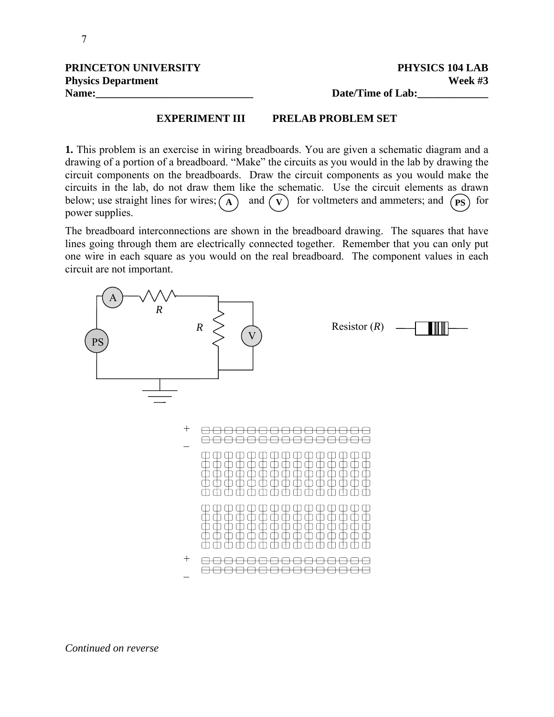| PRINCETON UNIVERSITY      | PHYSICS 104 LAB   |
|---------------------------|-------------------|
| <b>Physics Department</b> | Week $#3$         |
| Name:                     | Date/Time of Lab: |

### **EXPERIMENT III PRELAB PROBLEM SET**

**1.** This problem is an exercise in wiring breadboards. You are given a schematic diagram and a drawing of a portion of a breadboard. "Make" the circuits as you would in the lab by drawing the circuit components on the breadboards. Draw the circuit components as you would make the circuits in the lab, do not draw them like the schematic. Use the circuit elements as drawn below; use straight lines for wires;  $\begin{pmatrix} A \end{pmatrix}$  and  $\begin{pmatrix} v \end{pmatrix}$  for voltmeters and ammeters; and  $\begin{pmatrix} PS \end{pmatrix}$  for power supplies.

The breadboard interconnections are shown in the breadboard drawing. The squares that have lines going through them are electrically connected together. Remember that you can only put one wire in each square as you would on the real breadboard. The component values in each circuit are not important.